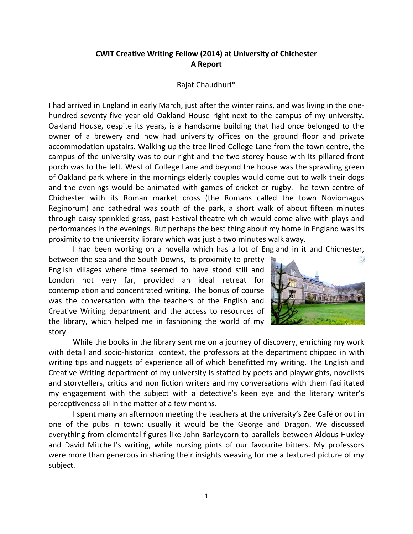## **CWIT Creative Writing Fellow (2014) at University of Chichester A Report**

## Rajat Chaudhuri\*

I had arrived in England in early March, just after the winter rains, and was living in the onehundred-seventy-five year old Oakland House right next to the campus of my university. Oakland House, despite its years, is a handsome building that had once belonged to the owner of a brewery and now had university offices on the ground floor and private accommodation upstairs. Walking up the tree lined College Lane from the town centre, the campus of the university was to our right and the two storey house with its pillared front porch was to the left. West of College Lane and beyond the house was the sprawling green of Oakland park where in the mornings elderly couples would come out to walk their dogs and the evenings would be animated with games of cricket or rugby. The town centre of Chichester with its Roman market cross (the Romans called the town Noviomagus Reginorum) and cathedral was south of the park, a short walk of about fifteen minutes through daisy sprinkled grass, past Festival theatre which would come alive with plays and performances in the evenings. But perhaps the best thing about my home in England was its proximity to the university library which was just a two minutes walk away.

I had been working on a novella which has a lot of England in it and Chichester,

between the sea and the South Downs, its proximity to pretty English villages where time seemed to have stood still and London not very far, provided an ideal retreat for contemplation and concentrated writing. The bonus of course was the conversation with the teachers of the English and Creative Writing department and the access to resources of the library, which helped me in fashioning the world of my story.



While the books in the library sent me on a journey of discovery, enriching my work with detail and socio-historical context, the professors at the department chipped in with writing tips and nuggets of experience all of which benefitted my writing. The English and Creative Writing department of my university is staffed by poets and playwrights, novelists and storytellers, critics and non fiction writers and my conversations with them facilitated my engagement with the subject with a detective's keen eye and the literary writer's perceptiveness all in the matter of a few months.

I spent many an afternoon meeting the teachers at the university's Zee Café or out in one of the pubs in town; usually it would be the George and Dragon. We discussed everything from elemental figures like John Barleycorn to parallels between Aldous Huxley and David Mitchell's writing, while nursing pints of our favourite bitters. My professors were more than generous in sharing their insights weaving for me a textured picture of my subject.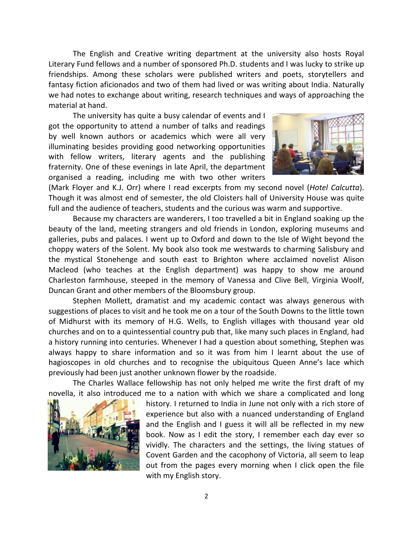The English and Creative writing department at the university also hosts Royal Literary Fund fellows and a number of sponsored Ph.D. students and I was lucky to strike up friendships. Among these scholars were published writers and poets, storytellers and fantasy fiction aficionados and two of them had lived or was writing about India. Naturally we had notes to exchange about writing, research techniques and ways of approaching the material at hand.

The university has quite a busy calendar of events and I got the opportunity to attend a number of talks and readings by well known authors or academics which were all very illuminating besides providing good networking opportunities with fellow writers, literary agents and the publishing fraternity. One of these evenings in late April, the department organised a reading, including me with two other writers



(Mark Floyer and K.J. Orr) where I read excerpts from my second novel (*Hotel Calcutta*). Though it was almost end of semester, the old Cloisters hall of University House was quite full and the audience of teachers, students and the curious was warm and supportive.

Because my characters are wanderers, I too travelled a bit in England soaking up the beauty of the land, meeting strangers and old friends in London, exploring museums and galleries, pubs and palaces. I went up to Oxford and down to the Isle of Wight beyond the choppy waters of the Solent. My book also took me westwards to charming Salisbury and the mystical Stonehenge and south east to Brighton where acclaimed novelist Alison Macleod (who teaches at the English department) was happy to show me around Charleston farmhouse, steeped in the memory of Vanessa and Clive Bell, Virginia Woolf, Duncan Grant and other members of the Bloomsbury group.

Stephen Mollett, dramatist and my academic contact was always generous with suggestions of places to visit and he took me on a tour of the South Downs to the little town of Midhurst with its memory of H.G. Wells, to English villages with thousand year old churches and on to a quintessential country pub that, like many such places in England, had a history running into centuries. Whenever I had a question about something, Stephen was always happy to share information and so it was from him I learnt about the use of hagioscopes in old churches and to recognise the ubiquitous Queen Anne's lace which previously had been just another unknown flower by the roadside.

The Charles Wallace fellowship has not only helped me write the first draft of my novella, it also introduced me to a nation with which we share a complicated and long



history. I returned to India in June not only with a rich store of experience but also with a nuanced understanding of England and the English and I guess it will all be reflected in my new book. Now as I edit the story, I remember each day ever so vividly. The characters and the settings, the living statues of Covent Garden and the cacophony of Victoria, all seem to leap out from the pages every morning when I click open the file with my English story.